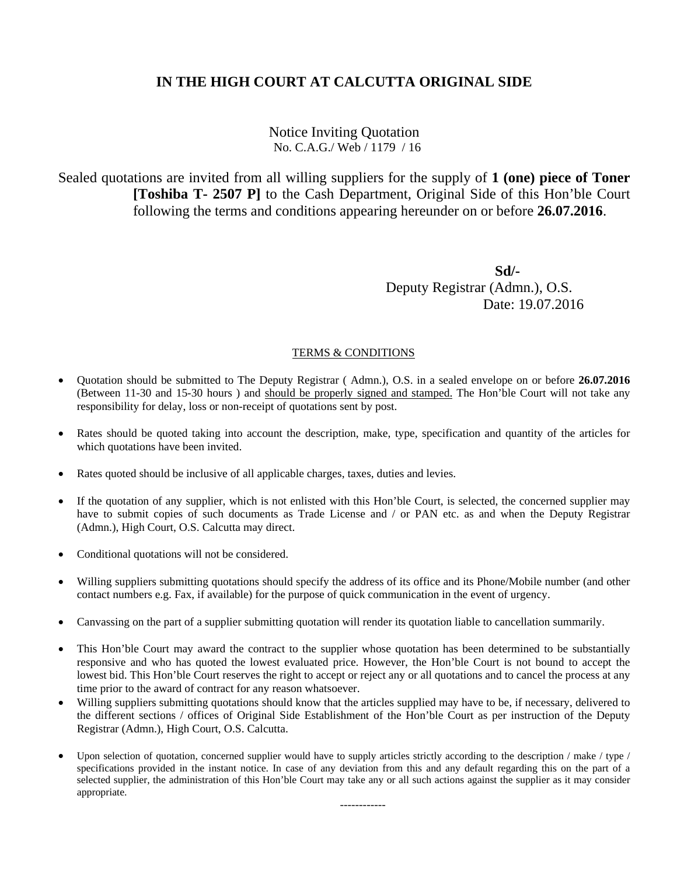Notice Inviting Quotation No. C.A.G./ Web / 1179 / 16

Sealed quotations are invited from all willing suppliers for the supply of **1 (one) piece of Toner [Toshiba T- 2507 P]** to the Cash Department, Original Side of this Hon'ble Court following the terms and conditions appearing hereunder on or before **26.07.2016**.

 **Sd/-** Deputy Registrar (Admn.), O.S. Date: 19.07.2016

### TERMS & CONDITIONS

- Quotation should be submitted to The Deputy Registrar ( Admn.), O.S. in a sealed envelope on or before **26.07.2016** (Between 11-30 and 15-30 hours ) and should be properly signed and stamped. The Hon'ble Court will not take any responsibility for delay, loss or non-receipt of quotations sent by post.
- Rates should be quoted taking into account the description, make, type, specification and quantity of the articles for which quotations have been invited.
- Rates quoted should be inclusive of all applicable charges, taxes, duties and levies.
- If the quotation of any supplier, which is not enlisted with this Hon'ble Court, is selected, the concerned supplier may have to submit copies of such documents as Trade License and / or PAN etc. as and when the Deputy Registrar (Admn.), High Court, O.S. Calcutta may direct.
- Conditional quotations will not be considered.
- Willing suppliers submitting quotations should specify the address of its office and its Phone/Mobile number (and other contact numbers e.g. Fax, if available) for the purpose of quick communication in the event of urgency.
- Canvassing on the part of a supplier submitting quotation will render its quotation liable to cancellation summarily.
- This Hon'ble Court may award the contract to the supplier whose quotation has been determined to be substantially responsive and who has quoted the lowest evaluated price. However, the Hon'ble Court is not bound to accept the lowest bid. This Hon'ble Court reserves the right to accept or reject any or all quotations and to cancel the process at any time prior to the award of contract for any reason whatsoever.
- Willing suppliers submitting quotations should know that the articles supplied may have to be, if necessary, delivered to the different sections / offices of Original Side Establishment of the Hon'ble Court as per instruction of the Deputy Registrar (Admn.), High Court, O.S. Calcutta.
- Upon selection of quotation, concerned supplier would have to supply articles strictly according to the description / make / type / specifications provided in the instant notice. In case of any deviation from this and any default regarding this on the part of a selected supplier, the administration of this Hon'ble Court may take any or all such actions against the supplier as it may consider appropriate.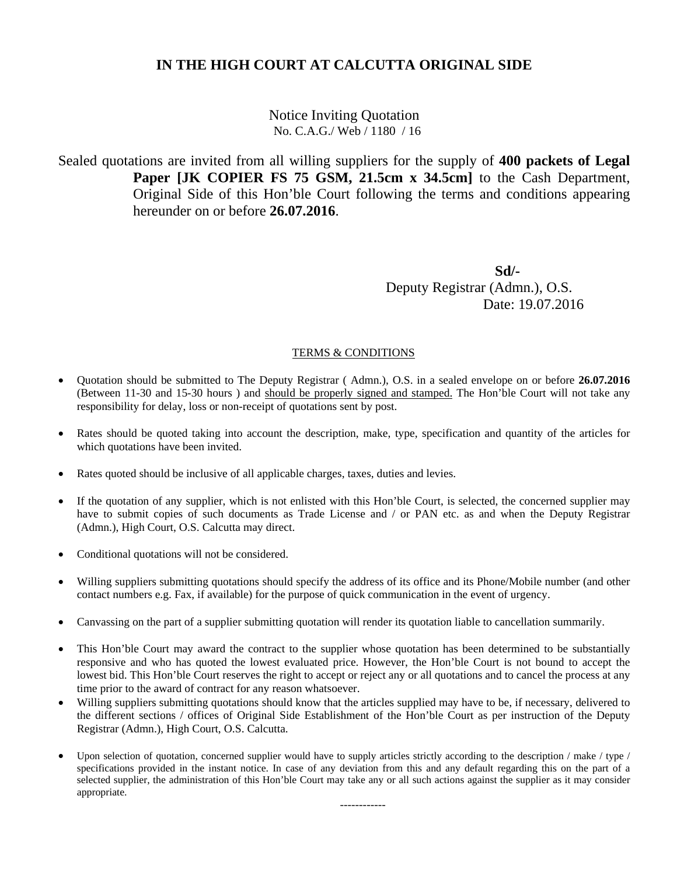Notice Inviting Quotation No. C.A.G./ Web / 1180 / 16

Sealed quotations are invited from all willing suppliers for the supply of **400 packets of Legal Paper [JK COPIER FS 75 GSM, 21.5cm x 34.5cm]** to the Cash Department, Original Side of this Hon'ble Court following the terms and conditions appearing hereunder on or before **26.07.2016**.

 **Sd/-** Deputy Registrar (Admn.), O.S. Date: 19.07.2016

### TERMS & CONDITIONS

- Quotation should be submitted to The Deputy Registrar ( Admn.), O.S. in a sealed envelope on or before **26.07.2016** (Between 11-30 and 15-30 hours ) and should be properly signed and stamped. The Hon'ble Court will not take any responsibility for delay, loss or non-receipt of quotations sent by post.
- Rates should be quoted taking into account the description, make, type, specification and quantity of the articles for which quotations have been invited.
- Rates quoted should be inclusive of all applicable charges, taxes, duties and levies.
- If the quotation of any supplier, which is not enlisted with this Hon'ble Court, is selected, the concerned supplier may have to submit copies of such documents as Trade License and / or PAN etc. as and when the Deputy Registrar (Admn.), High Court, O.S. Calcutta may direct.
- Conditional quotations will not be considered.
- Willing suppliers submitting quotations should specify the address of its office and its Phone/Mobile number (and other contact numbers e.g. Fax, if available) for the purpose of quick communication in the event of urgency.
- Canvassing on the part of a supplier submitting quotation will render its quotation liable to cancellation summarily.
- This Hon'ble Court may award the contract to the supplier whose quotation has been determined to be substantially responsive and who has quoted the lowest evaluated price. However, the Hon'ble Court is not bound to accept the lowest bid. This Hon'ble Court reserves the right to accept or reject any or all quotations and to cancel the process at any time prior to the award of contract for any reason whatsoever.
- Willing suppliers submitting quotations should know that the articles supplied may have to be, if necessary, delivered to the different sections / offices of Original Side Establishment of the Hon'ble Court as per instruction of the Deputy Registrar (Admn.), High Court, O.S. Calcutta.
- Upon selection of quotation, concerned supplier would have to supply articles strictly according to the description / make / type / specifications provided in the instant notice. In case of any deviation from this and any default regarding this on the part of a selected supplier, the administration of this Hon'ble Court may take any or all such actions against the supplier as it may consider appropriate.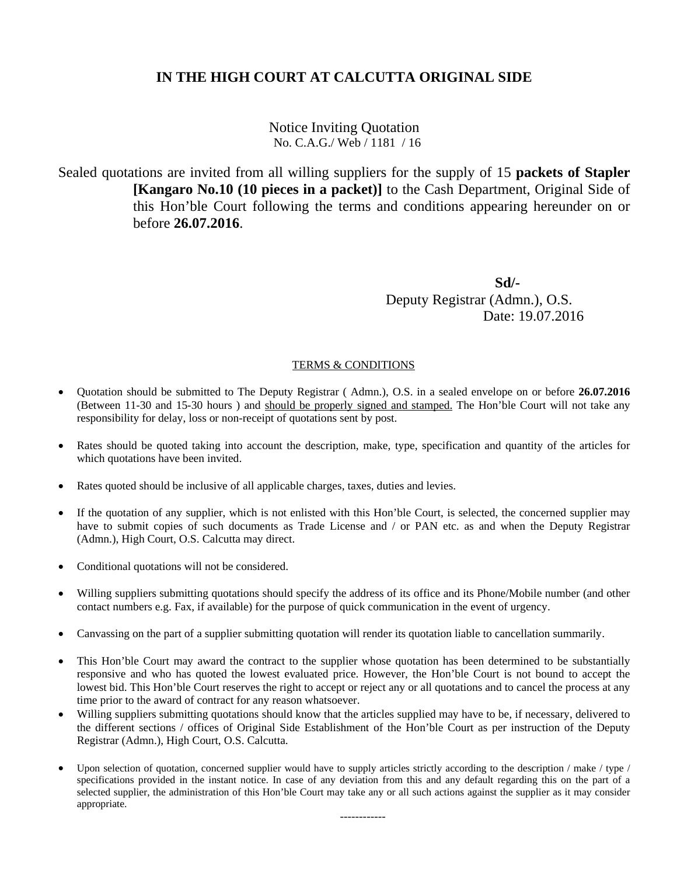Notice Inviting Quotation No. C.A.G./ Web / 1181 / 16

Sealed quotations are invited from all willing suppliers for the supply of 15 **packets of Stapler [Kangaro No.10 (10 pieces in a packet)]** to the Cash Department, Original Side of this Hon'ble Court following the terms and conditions appearing hereunder on or before **26.07.2016**.

 **Sd/-** Deputy Registrar (Admn.), O.S. Date: 19.07.2016

## TERMS & CONDITIONS

- Quotation should be submitted to The Deputy Registrar ( Admn.), O.S. in a sealed envelope on or before **26.07.2016** (Between 11-30 and 15-30 hours ) and should be properly signed and stamped. The Hon'ble Court will not take any responsibility for delay, loss or non-receipt of quotations sent by post.
- Rates should be quoted taking into account the description, make, type, specification and quantity of the articles for which quotations have been invited.
- Rates quoted should be inclusive of all applicable charges, taxes, duties and levies.
- If the quotation of any supplier, which is not enlisted with this Hon'ble Court, is selected, the concerned supplier may have to submit copies of such documents as Trade License and / or PAN etc. as and when the Deputy Registrar (Admn.), High Court, O.S. Calcutta may direct.
- Conditional quotations will not be considered.
- Willing suppliers submitting quotations should specify the address of its office and its Phone/Mobile number (and other contact numbers e.g. Fax, if available) for the purpose of quick communication in the event of urgency.
- Canvassing on the part of a supplier submitting quotation will render its quotation liable to cancellation summarily.
- This Hon'ble Court may award the contract to the supplier whose quotation has been determined to be substantially responsive and who has quoted the lowest evaluated price. However, the Hon'ble Court is not bound to accept the lowest bid. This Hon'ble Court reserves the right to accept or reject any or all quotations and to cancel the process at any time prior to the award of contract for any reason whatsoever.
- Willing suppliers submitting quotations should know that the articles supplied may have to be, if necessary, delivered to the different sections / offices of Original Side Establishment of the Hon'ble Court as per instruction of the Deputy Registrar (Admn.), High Court, O.S. Calcutta.
- Upon selection of quotation, concerned supplier would have to supply articles strictly according to the description / make / type / specifications provided in the instant notice. In case of any deviation from this and any default regarding this on the part of a selected supplier, the administration of this Hon'ble Court may take any or all such actions against the supplier as it may consider appropriate.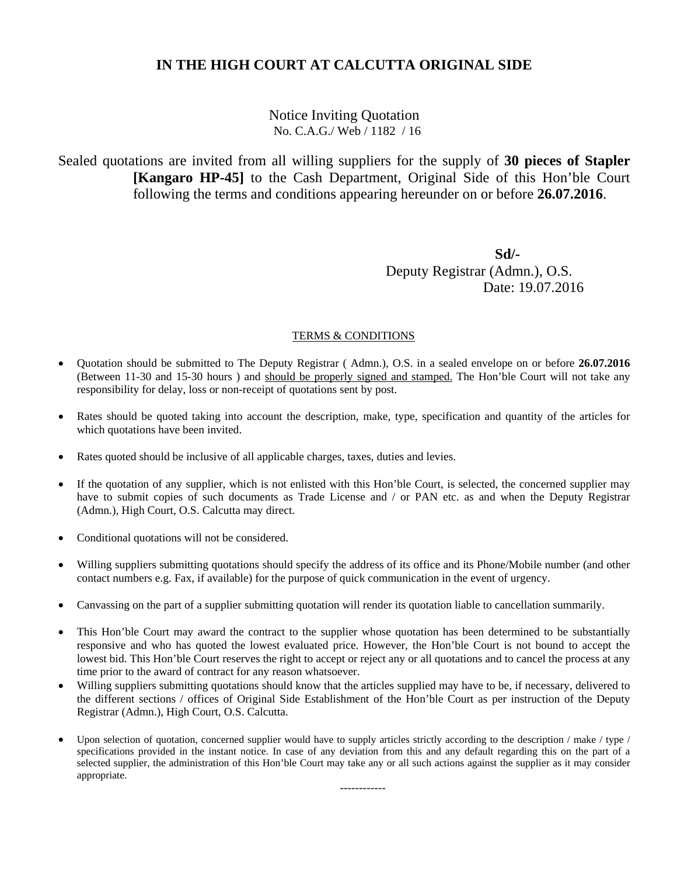Notice Inviting Quotation No. C.A.G./ Web / 1182 / 16

Sealed quotations are invited from all willing suppliers for the supply of **30 pieces of Stapler [Kangaro HP-45]** to the Cash Department, Original Side of this Hon'ble Court following the terms and conditions appearing hereunder on or before **26.07.2016**.

 **Sd/-** Deputy Registrar (Admn.), O.S. Date: 19.07.2016

### TERMS & CONDITIONS

- Quotation should be submitted to The Deputy Registrar ( Admn.), O.S. in a sealed envelope on or before **26.07.2016** (Between 11-30 and 15-30 hours ) and should be properly signed and stamped. The Hon'ble Court will not take any responsibility for delay, loss or non-receipt of quotations sent by post.
- Rates should be quoted taking into account the description, make, type, specification and quantity of the articles for which quotations have been invited.
- Rates quoted should be inclusive of all applicable charges, taxes, duties and levies.
- If the quotation of any supplier, which is not enlisted with this Hon'ble Court, is selected, the concerned supplier may have to submit copies of such documents as Trade License and / or PAN etc. as and when the Deputy Registrar (Admn.), High Court, O.S. Calcutta may direct.
- Conditional quotations will not be considered.
- Willing suppliers submitting quotations should specify the address of its office and its Phone/Mobile number (and other contact numbers e.g. Fax, if available) for the purpose of quick communication in the event of urgency.
- Canvassing on the part of a supplier submitting quotation will render its quotation liable to cancellation summarily.
- This Hon'ble Court may award the contract to the supplier whose quotation has been determined to be substantially responsive and who has quoted the lowest evaluated price. However, the Hon'ble Court is not bound to accept the lowest bid. This Hon'ble Court reserves the right to accept or reject any or all quotations and to cancel the process at any time prior to the award of contract for any reason whatsoever.
- Willing suppliers submitting quotations should know that the articles supplied may have to be, if necessary, delivered to the different sections / offices of Original Side Establishment of the Hon'ble Court as per instruction of the Deputy Registrar (Admn.), High Court, O.S. Calcutta.
- Upon selection of quotation, concerned supplier would have to supply articles strictly according to the description / make / type / specifications provided in the instant notice. In case of any deviation from this and any default regarding this on the part of a selected supplier, the administration of this Hon'ble Court may take any or all such actions against the supplier as it may consider appropriate.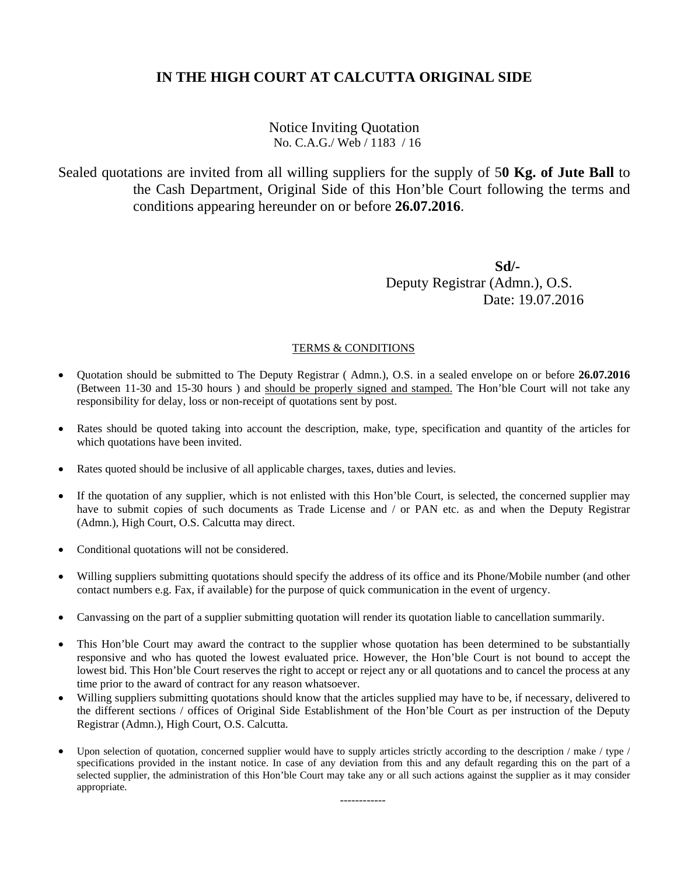## Notice Inviting Quotation No. C.A.G./ Web / 1183 / 16

Sealed quotations are invited from all willing suppliers for the supply of 5**0 Kg. of Jute Ball** to the Cash Department, Original Side of this Hon'ble Court following the terms and conditions appearing hereunder on or before **26.07.2016**.

 **Sd/-** Deputy Registrar (Admn.), O.S. Date: 19.07.2016

### TERMS & CONDITIONS

- Quotation should be submitted to The Deputy Registrar ( Admn.), O.S. in a sealed envelope on or before **26.07.2016** (Between 11-30 and 15-30 hours ) and should be properly signed and stamped. The Hon'ble Court will not take any responsibility for delay, loss or non-receipt of quotations sent by post.
- Rates should be quoted taking into account the description, make, type, specification and quantity of the articles for which quotations have been invited.
- Rates quoted should be inclusive of all applicable charges, taxes, duties and levies.
- If the quotation of any supplier, which is not enlisted with this Hon'ble Court, is selected, the concerned supplier may have to submit copies of such documents as Trade License and / or PAN etc. as and when the Deputy Registrar (Admn.), High Court, O.S. Calcutta may direct.
- Conditional quotations will not be considered.
- Willing suppliers submitting quotations should specify the address of its office and its Phone/Mobile number (and other contact numbers e.g. Fax, if available) for the purpose of quick communication in the event of urgency.
- Canvassing on the part of a supplier submitting quotation will render its quotation liable to cancellation summarily.
- This Hon'ble Court may award the contract to the supplier whose quotation has been determined to be substantially responsive and who has quoted the lowest evaluated price. However, the Hon'ble Court is not bound to accept the lowest bid. This Hon'ble Court reserves the right to accept or reject any or all quotations and to cancel the process at any time prior to the award of contract for any reason whatsoever.
- Willing suppliers submitting quotations should know that the articles supplied may have to be, if necessary, delivered to the different sections / offices of Original Side Establishment of the Hon'ble Court as per instruction of the Deputy Registrar (Admn.), High Court, O.S. Calcutta.
- Upon selection of quotation, concerned supplier would have to supply articles strictly according to the description / make / type / specifications provided in the instant notice. In case of any deviation from this and any default regarding this on the part of a selected supplier, the administration of this Hon'ble Court may take any or all such actions against the supplier as it may consider appropriate.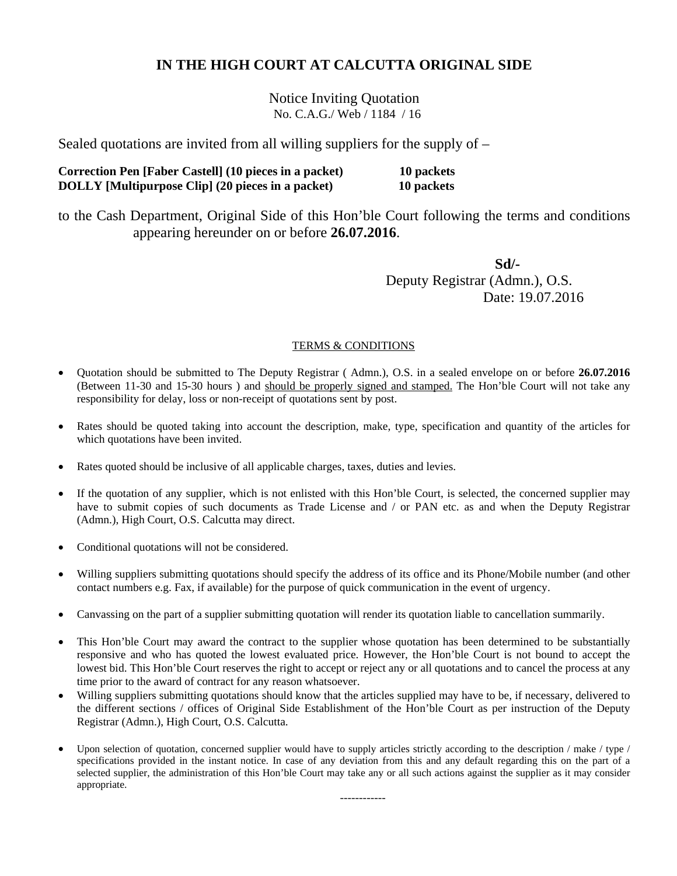Notice Inviting Quotation No. C.A.G./ Web / 1184 / 16

Sealed quotations are invited from all willing suppliers for the supply of –

**Correction Pen [Faber Castell] (10 pieces in a packet) 10 packets DOLLY [Multipurpose Clip] (20 pieces in a packet) 10 packets** 

to the Cash Department, Original Side of this Hon'ble Court following the terms and conditions appearing hereunder on or before **26.07.2016**.

 **Sd/-** Deputy Registrar (Admn.), O.S. Date: 19.07.2016

### TERMS & CONDITIONS

- Quotation should be submitted to The Deputy Registrar ( Admn.), O.S. in a sealed envelope on or before **26.07.2016** (Between 11-30 and 15-30 hours) and should be properly signed and stamped. The Hon'ble Court will not take any responsibility for delay, loss or non-receipt of quotations sent by post.
- Rates should be quoted taking into account the description, make, type, specification and quantity of the articles for which quotations have been invited.
- Rates quoted should be inclusive of all applicable charges, taxes, duties and levies.
- If the quotation of any supplier, which is not enlisted with this Hon'ble Court, is selected, the concerned supplier may have to submit copies of such documents as Trade License and / or PAN etc. as and when the Deputy Registrar (Admn.), High Court, O.S. Calcutta may direct.
- Conditional quotations will not be considered.
- Willing suppliers submitting quotations should specify the address of its office and its Phone/Mobile number (and other contact numbers e.g. Fax, if available) for the purpose of quick communication in the event of urgency.
- Canvassing on the part of a supplier submitting quotation will render its quotation liable to cancellation summarily.
- This Hon'ble Court may award the contract to the supplier whose quotation has been determined to be substantially responsive and who has quoted the lowest evaluated price. However, the Hon'ble Court is not bound to accept the lowest bid. This Hon'ble Court reserves the right to accept or reject any or all quotations and to cancel the process at any time prior to the award of contract for any reason whatsoever.
- Willing suppliers submitting quotations should know that the articles supplied may have to be, if necessary, delivered to the different sections / offices of Original Side Establishment of the Hon'ble Court as per instruction of the Deputy Registrar (Admn.), High Court, O.S. Calcutta.
- Upon selection of quotation, concerned supplier would have to supply articles strictly according to the description / make / type / specifications provided in the instant notice. In case of any deviation from this and any default regarding this on the part of a selected supplier, the administration of this Hon'ble Court may take any or all such actions against the supplier as it may consider appropriate.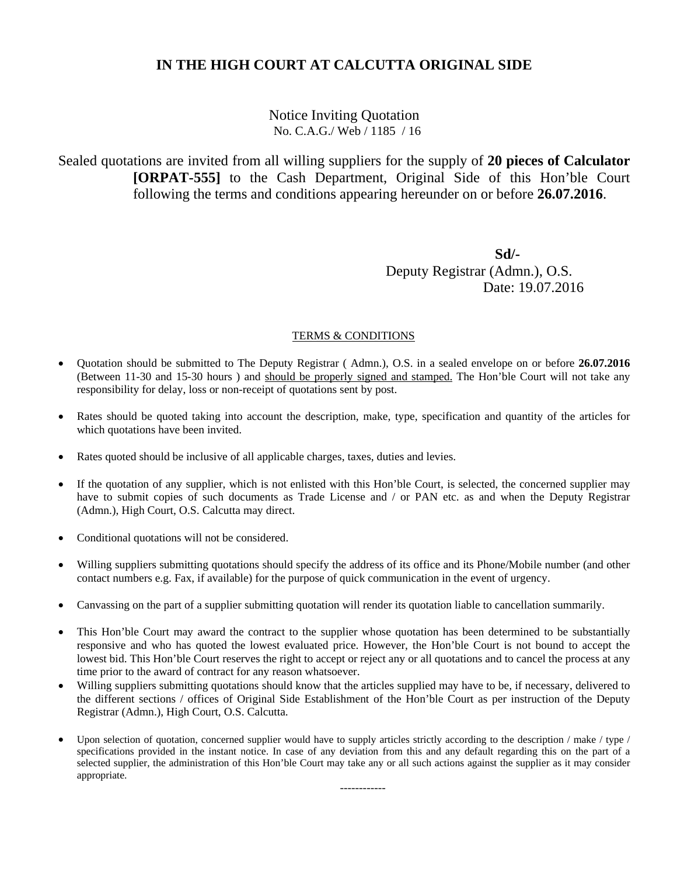Notice Inviting Quotation No. C.A.G./ Web / 1185 / 16

Sealed quotations are invited from all willing suppliers for the supply of **20 pieces of Calculator [ORPAT-555]** to the Cash Department, Original Side of this Hon'ble Court following the terms and conditions appearing hereunder on or before **26.07.2016**.

 **Sd/-** Deputy Registrar (Admn.), O.S. Date: 19.07.2016

### TERMS & CONDITIONS

- Quotation should be submitted to The Deputy Registrar ( Admn.), O.S. in a sealed envelope on or before **26.07.2016** (Between 11-30 and 15-30 hours ) and should be properly signed and stamped. The Hon'ble Court will not take any responsibility for delay, loss or non-receipt of quotations sent by post.
- Rates should be quoted taking into account the description, make, type, specification and quantity of the articles for which quotations have been invited.
- Rates quoted should be inclusive of all applicable charges, taxes, duties and levies.
- If the quotation of any supplier, which is not enlisted with this Hon'ble Court, is selected, the concerned supplier may have to submit copies of such documents as Trade License and / or PAN etc. as and when the Deputy Registrar (Admn.), High Court, O.S. Calcutta may direct.
- Conditional quotations will not be considered.
- Willing suppliers submitting quotations should specify the address of its office and its Phone/Mobile number (and other contact numbers e.g. Fax, if available) for the purpose of quick communication in the event of urgency.
- Canvassing on the part of a supplier submitting quotation will render its quotation liable to cancellation summarily.
- This Hon'ble Court may award the contract to the supplier whose quotation has been determined to be substantially responsive and who has quoted the lowest evaluated price. However, the Hon'ble Court is not bound to accept the lowest bid. This Hon'ble Court reserves the right to accept or reject any or all quotations and to cancel the process at any time prior to the award of contract for any reason whatsoever.
- Willing suppliers submitting quotations should know that the articles supplied may have to be, if necessary, delivered to the different sections / offices of Original Side Establishment of the Hon'ble Court as per instruction of the Deputy Registrar (Admn.), High Court, O.S. Calcutta.
- Upon selection of quotation, concerned supplier would have to supply articles strictly according to the description / make / type / specifications provided in the instant notice. In case of any deviation from this and any default regarding this on the part of a selected supplier, the administration of this Hon'ble Court may take any or all such actions against the supplier as it may consider appropriate.